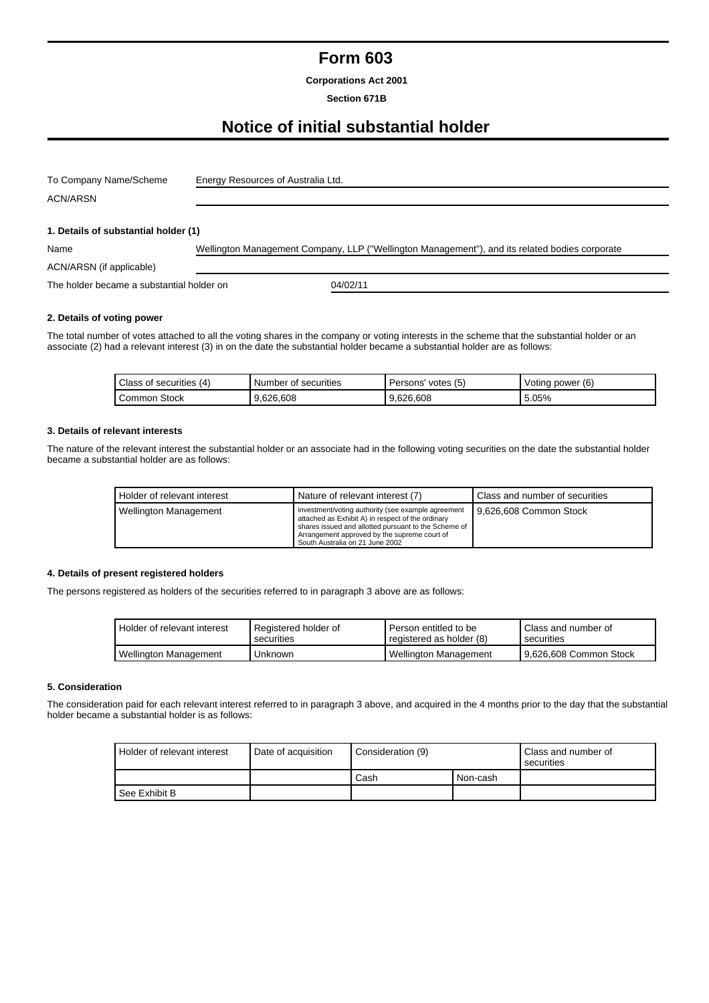# **Form 603**

**Corporations Act 2001**

### **Section 671B**

# **Notice of initial substantial holder**

| To Company Name/Scheme               | Energy Resources of Australia Ltd.                                                             |  |  |  |
|--------------------------------------|------------------------------------------------------------------------------------------------|--|--|--|
| <b>ACN/ARSN</b>                      |                                                                                                |  |  |  |
|                                      |                                                                                                |  |  |  |
| 1. Details of substantial holder (1) |                                                                                                |  |  |  |
| Name                                 | Wellington Management Company, LLP ("Wellington Management"), and its related bodies corporate |  |  |  |
| ACN/ARSN (if applicable)             |                                                                                                |  |  |  |

The holder became a substantial holder on 04/02/11

#### **2. Details of voting power**

The total number of votes attached to all the voting shares in the company or voting interests in the scheme that the substantial holder or an associate (2) had a relevant interest (3) in on the date the substantial holder became a substantial holder are as follows:

| (4)<br>Class of securities | Number<br>securities<br>ot. | votes (5)<br>Persons' | (6)<br>Voting power |
|----------------------------|-----------------------------|-----------------------|---------------------|
| Common Stock               | 9.626.608                   | 9.626.608             | 5.05%               |

### **3. Details of relevant interests**

The nature of the relevant interest the substantial holder or an associate had in the following voting securities on the date the substantial holder became a substantial holder are as follows:

| Holder of relevant interest  | Nature of relevant interest (7)                                                                                                                                                                                                                    | Class and number of securities |
|------------------------------|----------------------------------------------------------------------------------------------------------------------------------------------------------------------------------------------------------------------------------------------------|--------------------------------|
| <b>Wellington Management</b> | investment/voting authority (see example agreement<br>attached as Exhibit A) in respect of the ordinary<br>shares issued and allotted pursuant to the Scheme of<br>Arrangement approved by the supreme court of<br>South Australia on 21 June 2002 | 9.626.608 Common Stock         |

## **4. Details of present registered holders**

The persons registered as holders of the securities referred to in paragraph 3 above are as follows:

| Holder of relevant interest | Registered holder of<br>securities | Person entitled to be<br>registered as holder (8) | Class and number of<br>securities |
|-----------------------------|------------------------------------|---------------------------------------------------|-----------------------------------|
| Wellington Management       | Unknown                            | Wellington Management                             | 9.626.608 Common Stock            |

## **5. Consideration**

The consideration paid for each relevant interest referred to in paragraph 3 above, and acquired in the 4 months prior to the day that the substantial holder became a substantial holder is as follows:

| Holder of relevant interest | Date of acquisition | Consideration (9) |          | Class and number of<br>securities |
|-----------------------------|---------------------|-------------------|----------|-----------------------------------|
|                             |                     | Cash              | Non-cash |                                   |
| See Exhibit B               |                     |                   |          |                                   |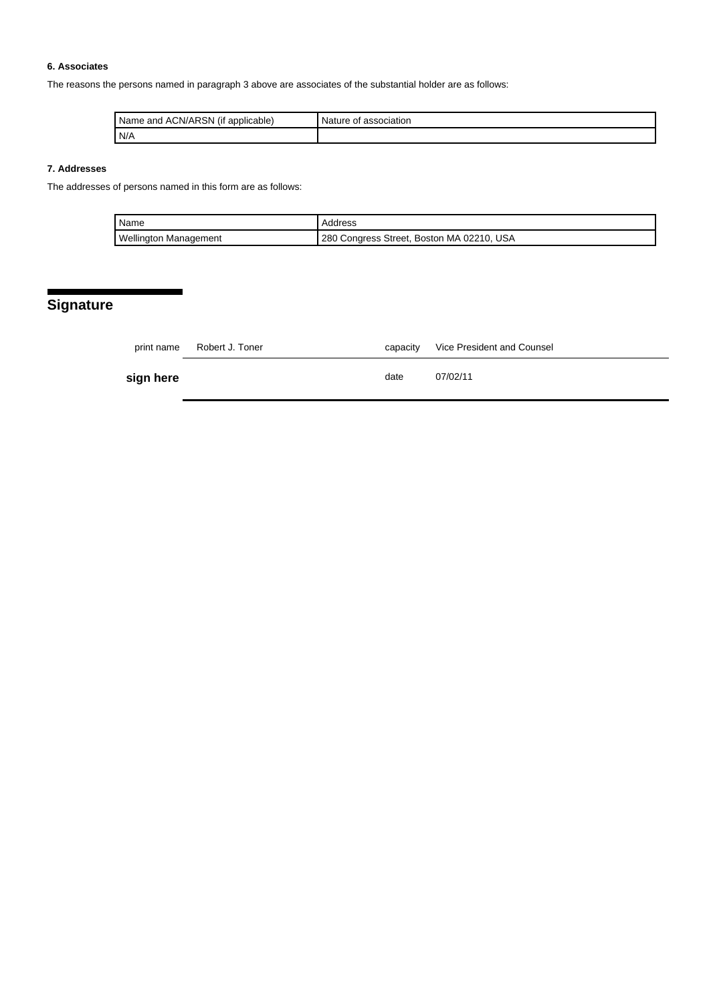## **6. Associates**

The reasons the persons named in paragraph 3 above are associates of the substantial holder are as follows:

| ACN/ARSN<br>Name<br>applicable)<br>and<br>(It | association<br>Nature of |
|-----------------------------------------------|--------------------------|
| N/A                                           |                          |

# **7. Addresses**

The addresses of persons named in this form are as follows:

| Name                         | Address                                   |
|------------------------------|-------------------------------------------|
| <b>Wellington Management</b> | 280 Congress Street, Boston MA 02210, USA |

# **Signature**

|           | print name Robert J. Toner | capacity | Vice President and Counsel |
|-----------|----------------------------|----------|----------------------------|
| sign here |                            | date     | 07/02/11                   |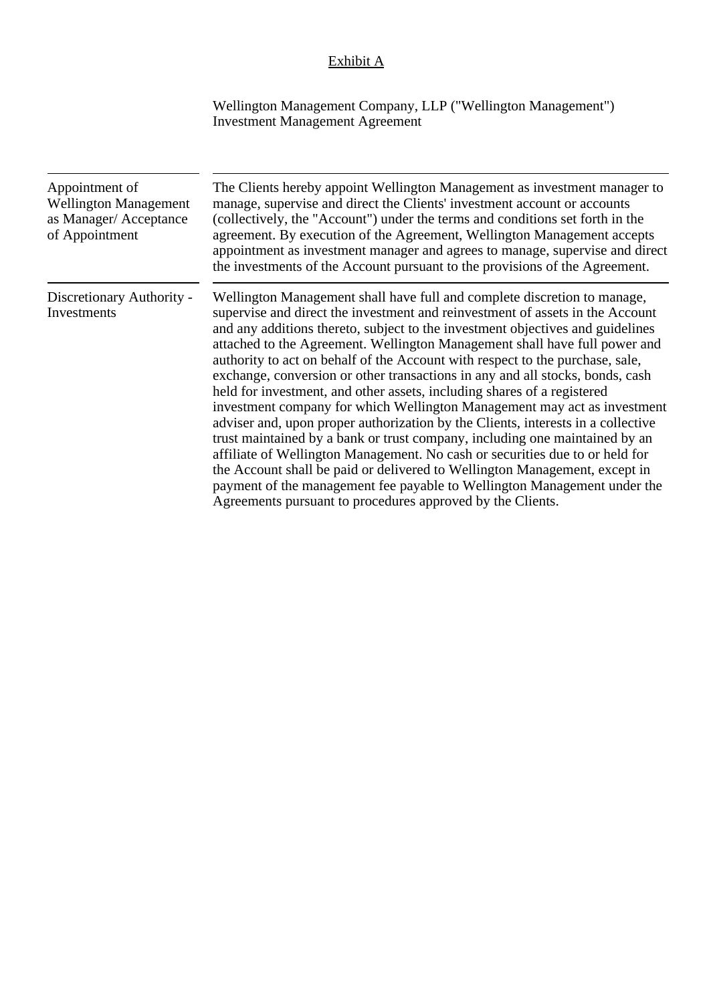# Exhibit A

Wellington Management Company, LLP ("Wellington Management") Investment Management Agreement

| Appointment of<br><b>Wellington Management</b><br>as Manager/Acceptance<br>of Appointment | The Clients hereby appoint Wellington Management as investment manager to<br>manage, supervise and direct the Clients' investment account or accounts<br>(collectively, the "Account") under the terms and conditions set forth in the<br>agreement. By execution of the Agreement, Wellington Management accepts<br>appointment as investment manager and agrees to manage, supervise and direct<br>the investments of the Account pursuant to the provisions of the Agreement.                                                                                                                                                                                                                                                                                                                                                                                                                                                                                                                                                                                                                                              |
|-------------------------------------------------------------------------------------------|-------------------------------------------------------------------------------------------------------------------------------------------------------------------------------------------------------------------------------------------------------------------------------------------------------------------------------------------------------------------------------------------------------------------------------------------------------------------------------------------------------------------------------------------------------------------------------------------------------------------------------------------------------------------------------------------------------------------------------------------------------------------------------------------------------------------------------------------------------------------------------------------------------------------------------------------------------------------------------------------------------------------------------------------------------------------------------------------------------------------------------|
| Discretionary Authority -<br>Investments                                                  | Wellington Management shall have full and complete discretion to manage,<br>supervise and direct the investment and reinvestment of assets in the Account<br>and any additions thereto, subject to the investment objectives and guidelines<br>attached to the Agreement. Wellington Management shall have full power and<br>authority to act on behalf of the Account with respect to the purchase, sale,<br>exchange, conversion or other transactions in any and all stocks, bonds, cash<br>held for investment, and other assets, including shares of a registered<br>investment company for which Wellington Management may act as investment<br>adviser and, upon proper authorization by the Clients, interests in a collective<br>trust maintained by a bank or trust company, including one maintained by an<br>affiliate of Wellington Management. No cash or securities due to or held for<br>the Account shall be paid or delivered to Wellington Management, except in<br>payment of the management fee payable to Wellington Management under the<br>Agreements pursuant to procedures approved by the Clients. |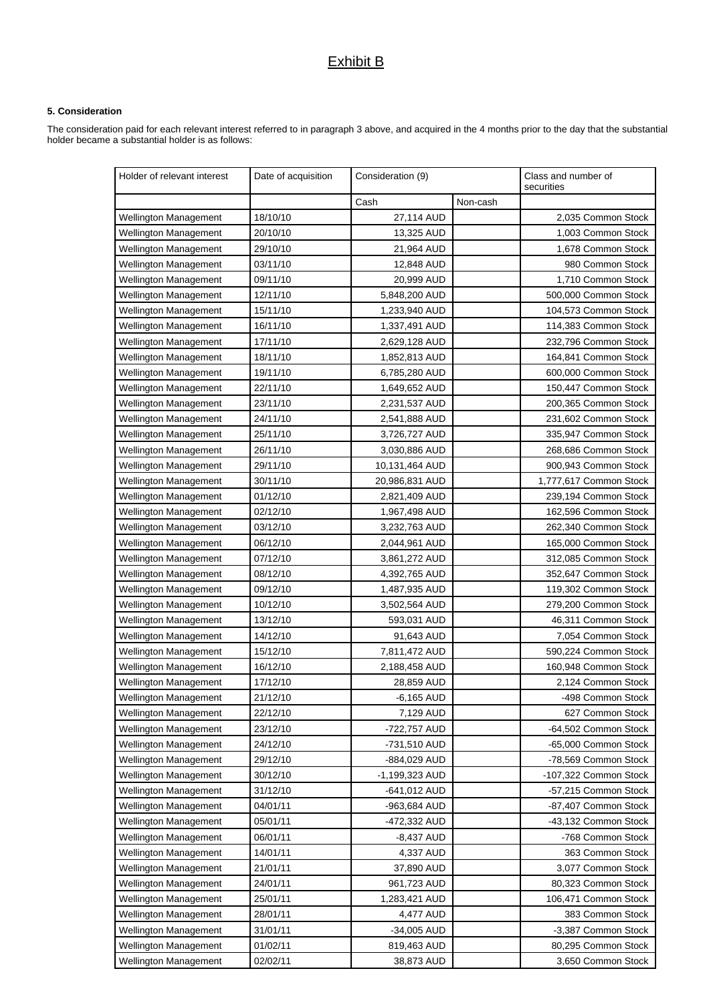# Exhibit B

## **5. Consideration**

The consideration paid for each relevant interest referred to in paragraph 3 above, and acquired in the 4 months prior to the day that the substantial holder became a substantial holder is as follows:

| Holder of relevant interest  | Date of acquisition | Consideration (9) |          | Class and number of<br>securities |
|------------------------------|---------------------|-------------------|----------|-----------------------------------|
|                              |                     | Cash              | Non-cash |                                   |
| Wellington Management        | 18/10/10            | 27,114 AUD        |          | 2,035 Common Stock                |
| <b>Wellington Management</b> | 20/10/10            | 13,325 AUD        |          | 1,003 Common Stock                |
| <b>Wellington Management</b> | 29/10/10            | 21,964 AUD        |          | 1,678 Common Stock                |
| <b>Wellington Management</b> | 03/11/10            | 12,848 AUD        |          | 980 Common Stock                  |
| Wellington Management        | 09/11/10            | 20,999 AUD        |          | 1,710 Common Stock                |
| Wellington Management        | 12/11/10            | 5,848,200 AUD     |          | 500,000 Common Stock              |
| <b>Wellington Management</b> | 15/11/10            | 1,233,940 AUD     |          | 104,573 Common Stock              |
| Wellington Management        | 16/11/10            | 1,337,491 AUD     |          | 114,383 Common Stock              |
| <b>Wellington Management</b> | 17/11/10            | 2,629,128 AUD     |          | 232,796 Common Stock              |
| <b>Wellington Management</b> | 18/11/10            | 1,852,813 AUD     |          | 164,841 Common Stock              |
| <b>Wellington Management</b> | 19/11/10            | 6,785,280 AUD     |          | 600,000 Common Stock              |
| Wellington Management        | 22/11/10            | 1,649,652 AUD     |          | 150,447 Common Stock              |
| <b>Wellington Management</b> | 23/11/10            | 2,231,537 AUD     |          | 200,365 Common Stock              |
| <b>Wellington Management</b> | 24/11/10            | 2,541,888 AUD     |          | 231,602 Common Stock              |
| <b>Wellington Management</b> | 25/11/10            | 3,726,727 AUD     |          | 335,947 Common Stock              |
| <b>Wellington Management</b> | 26/11/10            | 3,030,886 AUD     |          | 268,686 Common Stock              |
| <b>Wellington Management</b> | 29/11/10            | 10,131,464 AUD    |          | 900,943 Common Stock              |
| <b>Wellington Management</b> | 30/11/10            | 20,986,831 AUD    |          | 1,777,617 Common Stock            |
| <b>Wellington Management</b> | 01/12/10            | 2,821,409 AUD     |          | 239,194 Common Stock              |
| <b>Wellington Management</b> | 02/12/10            | 1,967,498 AUD     |          | 162,596 Common Stock              |
| <b>Wellington Management</b> | 03/12/10            | 3,232,763 AUD     |          | 262,340 Common Stock              |
| <b>Wellington Management</b> | 06/12/10            | 2,044,961 AUD     |          | 165,000 Common Stock              |
| <b>Wellington Management</b> | 07/12/10            | 3,861,272 AUD     |          | 312,085 Common Stock              |
| Wellington Management        | 08/12/10            | 4,392,765 AUD     |          | 352,647 Common Stock              |
| <b>Wellington Management</b> | 09/12/10            | 1,487,935 AUD     |          | 119,302 Common Stock              |
| <b>Wellington Management</b> | 10/12/10            | 3,502,564 AUD     |          | 279,200 Common Stock              |
| <b>Wellington Management</b> | 13/12/10            | 593,031 AUD       |          | 46,311 Common Stock               |
| <b>Wellington Management</b> | 14/12/10            | 91,643 AUD        |          | 7,054 Common Stock                |
| <b>Wellington Management</b> | 15/12/10            | 7,811,472 AUD     |          | 590,224 Common Stock              |
| Wellington Management        | 16/12/10            | 2,188,458 AUD     |          | 160,948 Common Stock              |
| <b>Wellington Management</b> | 17/12/10            | 28,859 AUD        |          | 2,124 Common Stock                |
| Wellington Management        | 21/12/10            | $-6,165$ AUD      |          | -498 Common Stock                 |
| <b>Wellington Management</b> | 22/12/10            | 7,129 AUD         |          | 627 Common Stock                  |
| <b>Wellington Management</b> | 23/12/10            | -722,757 AUD      |          | -64,502 Common Stock              |
| Wellington Management        | 24/12/10            | -731,510 AUD      |          | -65,000 Common Stock              |
| Wellington Management        | 29/12/10            | -884,029 AUD      |          | -78,569 Common Stock              |
| <b>Wellington Management</b> | 30/12/10            | -1,199,323 AUD    |          | -107,322 Common Stock             |
| <b>Wellington Management</b> | 31/12/10            | -641,012 AUD      |          | -57,215 Common Stock              |
| <b>Wellington Management</b> | 04/01/11            | -963,684 AUD      |          | -87,407 Common Stock              |
| Wellington Management        | 05/01/11            | -472,332 AUD      |          | -43,132 Common Stock              |
| <b>Wellington Management</b> | 06/01/11            | $-8,437$ AUD      |          | -768 Common Stock                 |
| Wellington Management        | 14/01/11            | 4,337 AUD         |          | 363 Common Stock                  |
| <b>Wellington Management</b> | 21/01/11            | 37,890 AUD        |          | 3,077 Common Stock                |
| <b>Wellington Management</b> | 24/01/11            | 961,723 AUD       |          | 80,323 Common Stock               |
| <b>Wellington Management</b> | 25/01/11            | 1,283,421 AUD     |          | 106,471 Common Stock              |
| <b>Wellington Management</b> | 28/01/11            | 4,477 AUD         |          | 383 Common Stock                  |
| Wellington Management        | 31/01/11            | -34,005 AUD       |          | -3,387 Common Stock               |
| Wellington Management        | 01/02/11            | 819,463 AUD       |          | 80,295 Common Stock               |
| Wellington Management        | 02/02/11            | 38,873 AUD        |          | 3,650 Common Stock                |